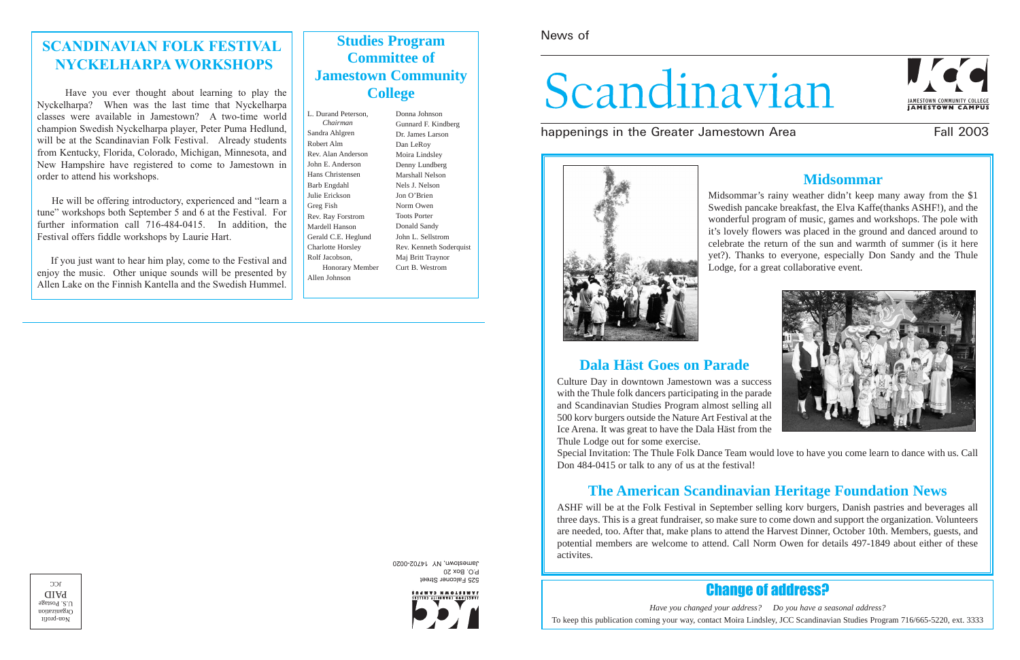News of

# Scandinavian

happenings in the Greater Jamestown Area Fall 2003





525 Falconer Street P.O. Box 20 Jamestown, NY 14702-0020



 $\upmu$ ond-uo<br/>N Organization  $0.5.$  Postage PAID  $C<sub>C</sub>$ 

## Change of address?

*Have you changed your address? Do you have a seasonal address?* To keep this publication coming your way, contact Moira Lindsley, JCC Scandinavian Studies Program 716/665-5220, ext. 3333

### **Midsommar**



Midsommar's rainy weather didn't keep many away from the \$1 Swedish pancake breakfast, the Elva Kaffe(thanks ASHF!), and the wonderful program of music, games and workshops. The pole with it's lovely flowers was placed in the ground and danced around to celebrate the return of the sun and warmth of summer (is it here yet?). Thanks to everyone, especially Don Sandy and the Thule Lodge, for a great collaborative event.

### **Dala Häst Goes on Parade**

Culture Day in downtown Jamestown was a success with the Thule folk dancers participating in the parade and Scandinavian Studies Program almost selling all 500 korv burgers outside the Nature Art Festival at the Ice Arena. It was great to have the Dala Häst from the Thule Lodge out for some exercise.

Special Invitation: The Thule Folk Dance Team would love to have you come learn to dance with us. Call Don 484-0415 or talk to any of us at the festival!

## **The American Scandinavian Heritage Foundation News**

ASHF will be at the Folk Festival in September selling korv burgers, Danish pastries and beverages all three days. This is a great fundraiser, so make sure to come down and support the organization. Volunteers are needed, too. After that, make plans to attend the Harvest Dinner, October 10th. Members, guests, and potential members are welcome to attend. Call Norm Owen for details 497-1849 about either of these activites.

### **SCANDINAVIAN FOLK FESTIVAL NYCKELHARPA WORKSHOPS**

Have you ever thought about learning to play the Nyckelharpa? When was the last time that Nyckelharpa classes were available in Jamestown? A two-time world champion Swedish Nyckelharpa player, Peter Puma Hedlund, will be at the Scandinavian Folk Festival. Already students from Kentucky, Florida, Colorado, Michigan, Minnesota, and New Hampshire have registered to come to Jamestown in order to attend his workshops.

He will be offering introductory, experienced and "learn a tune" workshops both September 5 and 6 at the Festival. For further information call 716-484-0415. In addition, the Festival offers fiddle workshops by Laurie Hart.

If you just want to hear him play, come to the Festival and enjoy the music. Other unique sounds will be presented by Allen Lake on the Finnish Kantella and the Swedish Hummel.

### **Studies Program Committee of Jamestown Community College**

L. Durand Peterson, *Chairman* Sandra Ahlgren Robert Alm Rev. Alan Anderson John E. Anderson Hans Christensen Barb Engdahl Julie Erickson Greg Fish Rev. Ray Forstrom Mardell Hanson Gerald C.E. Heglund Charlotte Horsley Rolf Jacobson, Honorary Member Allen Johnson

Donna Johnson Gunnard F. Kindberg Dr. James Larson Dan LeRoy Moira Lindsley Denny Lundberg Marshall Nelson Nels J. Nelson Jon O'Brien Norm Owen Toots Porter Donald Sandy John L. Sellstrom Rev. Kenneth Soderquist Maj Britt Traynor Curt B. Westrom